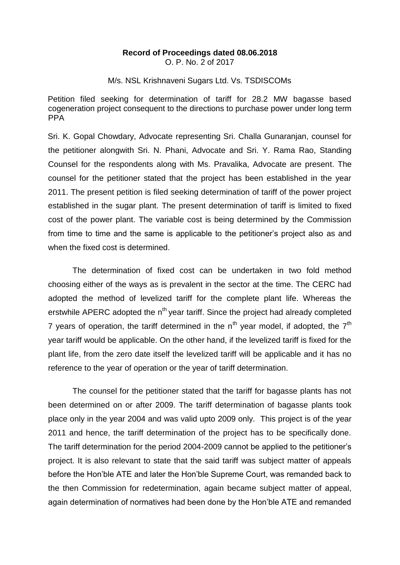## **Record of Proceedings dated 08.06.2018** O. P. No. 2 of 2017

M/s. NSL Krishnaveni Sugars Ltd. Vs. TSDISCOMs

Petition filed seeking for determination of tariff for 28.2 MW bagasse based cogeneration project consequent to the directions to purchase power under long term PPA

Sri. K. Gopal Chowdary, Advocate representing Sri. Challa Gunaranjan, counsel for the petitioner alongwith Sri. N. Phani, Advocate and Sri. Y. Rama Rao, Standing Counsel for the respondents along with Ms. Pravalika, Advocate are present. The counsel for the petitioner stated that the project has been established in the year 2011. The present petition is filed seeking determination of tariff of the power project established in the sugar plant. The present determination of tariff is limited to fixed cost of the power plant. The variable cost is being determined by the Commission from time to time and the same is applicable to the petitioner's project also as and when the fixed cost is determined.

The determination of fixed cost can be undertaken in two fold method choosing either of the ways as is prevalent in the sector at the time. The CERC had adopted the method of levelized tariff for the complete plant life. Whereas the erstwhile APERC adopted the  $n<sup>th</sup>$  vear tariff. Since the project had already completed 7 years of operation, the tariff determined in the  $n<sup>th</sup>$  year model, if adopted, the  $7<sup>th</sup>$ year tariff would be applicable. On the other hand, if the levelized tariff is fixed for the plant life, from the zero date itself the levelized tariff will be applicable and it has no reference to the year of operation or the year of tariff determination.

The counsel for the petitioner stated that the tariff for bagasse plants has not been determined on or after 2009. The tariff determination of bagasse plants took place only in the year 2004 and was valid upto 2009 only. This project is of the year 2011 and hence, the tariff determination of the project has to be specifically done. The tariff determination for the period 2004-2009 cannot be applied to the petitioner's project. It is also relevant to state that the said tariff was subject matter of appeals before the Hon'ble ATE and later the Hon'ble Supreme Court, was remanded back to the then Commission for redetermination, again became subject matter of appeal, again determination of normatives had been done by the Hon'ble ATE and remanded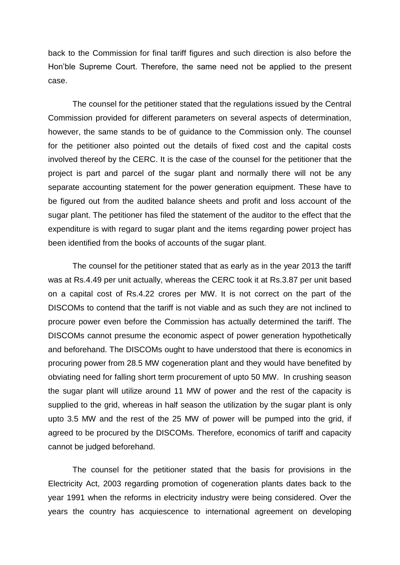back to the Commission for final tariff figures and such direction is also before the Hon'ble Supreme Court. Therefore, the same need not be applied to the present case.

The counsel for the petitioner stated that the regulations issued by the Central Commission provided for different parameters on several aspects of determination, however, the same stands to be of guidance to the Commission only. The counsel for the petitioner also pointed out the details of fixed cost and the capital costs involved thereof by the CERC. It is the case of the counsel for the petitioner that the project is part and parcel of the sugar plant and normally there will not be any separate accounting statement for the power generation equipment. These have to be figured out from the audited balance sheets and profit and loss account of the sugar plant. The petitioner has filed the statement of the auditor to the effect that the expenditure is with regard to sugar plant and the items regarding power project has been identified from the books of accounts of the sugar plant.

The counsel for the petitioner stated that as early as in the year 2013 the tariff was at Rs.4.49 per unit actually, whereas the CERC took it at Rs.3.87 per unit based on a capital cost of Rs.4.22 crores per MW. It is not correct on the part of the DISCOMs to contend that the tariff is not viable and as such they are not inclined to procure power even before the Commission has actually determined the tariff. The DISCOMs cannot presume the economic aspect of power generation hypothetically and beforehand. The DISCOMs ought to have understood that there is economics in procuring power from 28.5 MW cogeneration plant and they would have benefited by obviating need for falling short term procurement of upto 50 MW. In crushing season the sugar plant will utilize around 11 MW of power and the rest of the capacity is supplied to the grid, whereas in half season the utilization by the sugar plant is only upto 3.5 MW and the rest of the 25 MW of power will be pumped into the grid, if agreed to be procured by the DISCOMs. Therefore, economics of tariff and capacity cannot be judged beforehand.

The counsel for the petitioner stated that the basis for provisions in the Electricity Act, 2003 regarding promotion of cogeneration plants dates back to the year 1991 when the reforms in electricity industry were being considered. Over the years the country has acquiescence to international agreement on developing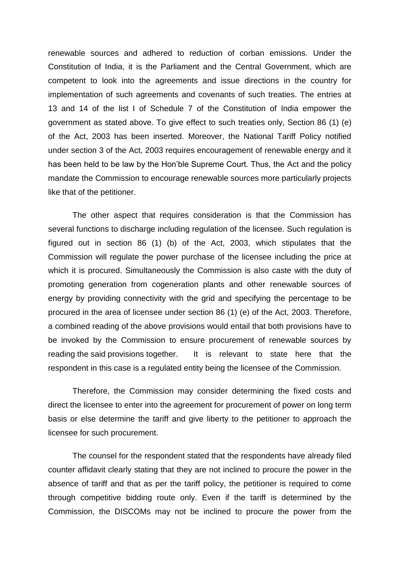renewable sources and adhered to reduction of corban emissions. Under the Constitution of India, it is the Parliament and the Central Government, which are competent to look into the agreements and issue directions in the country for implementation of such agreements and covenants of such treaties. The entries at 13 and 14 of the list I of Schedule 7 of the Constitution of India empower the government as stated above. To give effect to such treaties only, Section 86 (1) (e) of the Act, 2003 has been inserted. Moreover, the National Tariff Policy notified under section 3 of the Act, 2003 requires encouragement of renewable energy and it has been held to be law by the Hon'ble Supreme Court. Thus, the Act and the policy mandate the Commission to encourage renewable sources more particularly projects like that of the petitioner.

The other aspect that requires consideration is that the Commission has several functions to discharge including regulation of the licensee. Such regulation is figured out in section 86 (1) (b) of the Act, 2003, which stipulates that the Commission will regulate the power purchase of the licensee including the price at which it is procured. Simultaneously the Commission is also caste with the duty of promoting generation from cogeneration plants and other renewable sources of energy by providing connectivity with the grid and specifying the percentage to be procured in the area of licensee under section 86 (1) (e) of the Act, 2003. Therefore, a combined reading of the above provisions would entail that both provisions have to be invoked by the Commission to ensure procurement of renewable sources by reading the said provisions together. It is relevant to state here that the respondent in this case is a regulated entity being the licensee of the Commission.

Therefore, the Commission may consider determining the fixed costs and direct the licensee to enter into the agreement for procurement of power on long term basis or else determine the tariff and give liberty to the petitioner to approach the licensee for such procurement.

The counsel for the respondent stated that the respondents have already filed counter affidavit clearly stating that they are not inclined to procure the power in the absence of tariff and that as per the tariff policy, the petitioner is required to come through competitive bidding route only. Even if the tariff is determined by the Commission, the DISCOMs may not be inclined to procure the power from the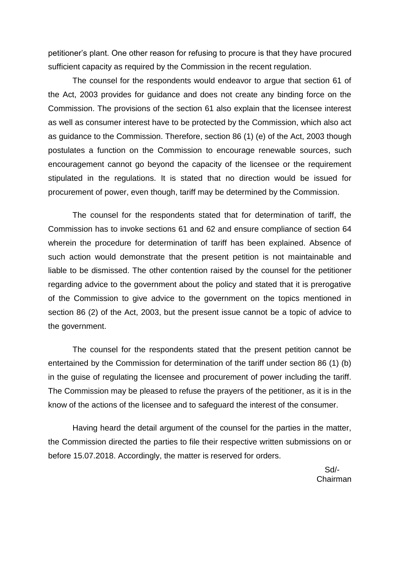petitioner's plant. One other reason for refusing to procure is that they have procured sufficient capacity as required by the Commission in the recent regulation.

The counsel for the respondents would endeavor to argue that section 61 of the Act, 2003 provides for guidance and does not create any binding force on the Commission. The provisions of the section 61 also explain that the licensee interest as well as consumer interest have to be protected by the Commission, which also act as guidance to the Commission. Therefore, section 86 (1) (e) of the Act, 2003 though postulates a function on the Commission to encourage renewable sources, such encouragement cannot go beyond the capacity of the licensee or the requirement stipulated in the regulations. It is stated that no direction would be issued for procurement of power, even though, tariff may be determined by the Commission.

The counsel for the respondents stated that for determination of tariff, the Commission has to invoke sections 61 and 62 and ensure compliance of section 64 wherein the procedure for determination of tariff has been explained. Absence of such action would demonstrate that the present petition is not maintainable and liable to be dismissed. The other contention raised by the counsel for the petitioner regarding advice to the government about the policy and stated that it is prerogative of the Commission to give advice to the government on the topics mentioned in section 86 (2) of the Act, 2003, but the present issue cannot be a topic of advice to the government.

The counsel for the respondents stated that the present petition cannot be entertained by the Commission for determination of the tariff under section 86 (1) (b) in the guise of regulating the licensee and procurement of power including the tariff. The Commission may be pleased to refuse the prayers of the petitioner, as it is in the know of the actions of the licensee and to safeguard the interest of the consumer.

Having heard the detail argument of the counsel for the parties in the matter, the Commission directed the parties to file their respective written submissions on or before 15.07.2018. Accordingly, the matter is reserved for orders.

> Sd/- Chairman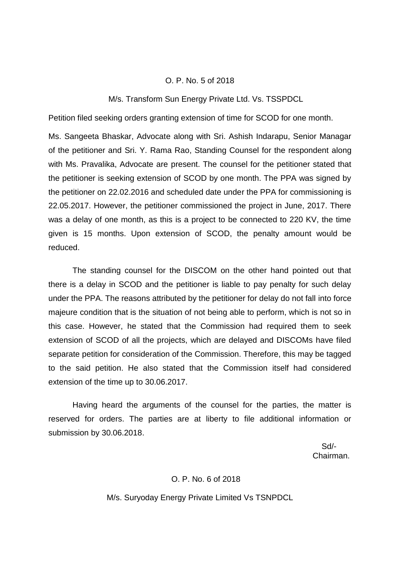## O. P. No. 5 of 2018

### M/s. Transform Sun Energy Private Ltd. Vs. TSSPDCL

Petition filed seeking orders granting extension of time for SCOD for one month.

Ms. Sangeeta Bhaskar, Advocate along with Sri. Ashish Indarapu, Senior Managar of the petitioner and Sri. Y. Rama Rao, Standing Counsel for the respondent along with Ms. Pravalika, Advocate are present. The counsel for the petitioner stated that the petitioner is seeking extension of SCOD by one month. The PPA was signed by the petitioner on 22.02.2016 and scheduled date under the PPA for commissioning is 22.05.2017. However, the petitioner commissioned the project in June, 2017. There was a delay of one month, as this is a project to be connected to 220 KV, the time given is 15 months. Upon extension of SCOD, the penalty amount would be reduced.

The standing counsel for the DISCOM on the other hand pointed out that there is a delay in SCOD and the petitioner is liable to pay penalty for such delay under the PPA. The reasons attributed by the petitioner for delay do not fall into force majeure condition that is the situation of not being able to perform, which is not so in this case. However, he stated that the Commission had required them to seek extension of SCOD of all the projects, which are delayed and DISCOMs have filed separate petition for consideration of the Commission. Therefore, this may be tagged to the said petition. He also stated that the Commission itself had considered extension of the time up to 30.06.2017.

Having heard the arguments of the counsel for the parties, the matter is reserved for orders. The parties are at liberty to file additional information or submission by 30.06.2018.

 Sd/- Chairman.

#### O. P. No. 6 of 2018

M/s. Suryoday Energy Private Limited Vs TSNPDCL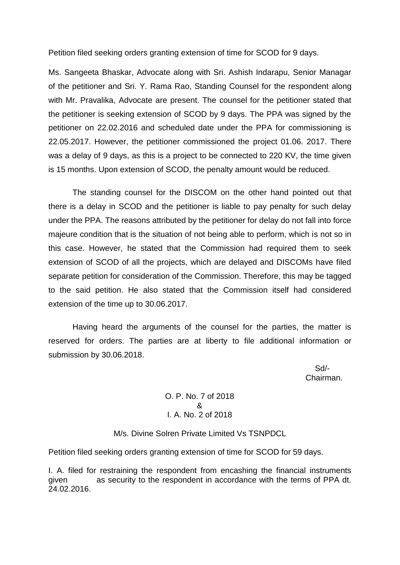Petition filed seeking orders granting extension of time for SCOD for 9 days.

Ms. Sangeeta Bhaskar, Advocate along with Sri. Ashish Indarapu, Senior Managar of the petitioner and Sri. Y. Rama Rao, Standing Counsel for the respondent along with Mr. Pravalika, Advocate are present. The counsel for the petitioner stated that the petitioner is seeking extension of SCOD by 9 days. The PPA was signed by the petitioner on 22.02.2016 and scheduled date under the PPA for commissioning is 22.05.2017. However, the petitioner commissioned the project 01.06. 2017. There was a delay of 9 days, as this is a project to be connected to 220 KV, the time given is 15 months. Upon extension of SCOD, the penalty amount would be reduced.

The standing counsel for the DISCOM on the other hand pointed out that there is a delay in SCOD and the petitioner is liable to pay penalty for such delay under the PPA. The reasons attributed by the petitioner for delay do not fall into force majeure condition that is the situation of not being able to perform, which is not so in this case. However, he stated that the Commission had required them to seek extension of SCOD of all the projects, which are delayed and DISCOMs have filed separate petition for consideration of the Commission. Therefore, this may be tagged to the said petition. He also stated that the Commission itself had considered extension of the time up to 30.06.2017.

Having heard the arguments of the counsel for the parties, the matter is reserved for orders. The parties are at liberty to file additional information or submission by 30.06.2018.

 Sd/- Chairman.

> O. P. No. 7 of 2018 & I. A. No. 2 of 2018

M/s. Divine Solren Private Limited Vs TSNPDCL

Petition filed seeking orders granting extension of time for SCOD for 59 days.

I. A. filed for restraining the respondent from encashing the financial instruments given as security to the respondent in accordance with the terms of PPA dt. 24.02.2016.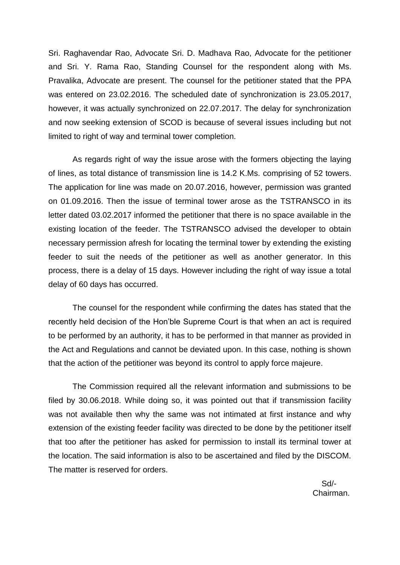Sri. Raghavendar Rao, Advocate Sri. D. Madhava Rao, Advocate for the petitioner and Sri. Y. Rama Rao, Standing Counsel for the respondent along with Ms. Pravalika, Advocate are present. The counsel for the petitioner stated that the PPA was entered on 23.02.2016. The scheduled date of synchronization is 23.05.2017, however, it was actually synchronized on 22.07.2017. The delay for synchronization and now seeking extension of SCOD is because of several issues including but not limited to right of way and terminal tower completion.

As regards right of way the issue arose with the formers objecting the laying of lines, as total distance of transmission line is 14.2 K.Ms. comprising of 52 towers. The application for line was made on 20.07.2016, however, permission was granted on 01.09.2016. Then the issue of terminal tower arose as the TSTRANSCO in its letter dated 03.02.2017 informed the petitioner that there is no space available in the existing location of the feeder. The TSTRANSCO advised the developer to obtain necessary permission afresh for locating the terminal tower by extending the existing feeder to suit the needs of the petitioner as well as another generator. In this process, there is a delay of 15 days. However including the right of way issue a total delay of 60 days has occurred.

The counsel for the respondent while confirming the dates has stated that the recently held decision of the Hon'ble Supreme Court is that when an act is required to be performed by an authority, it has to be performed in that manner as provided in the Act and Regulations and cannot be deviated upon. In this case, nothing is shown that the action of the petitioner was beyond its control to apply force majeure.

The Commission required all the relevant information and submissions to be filed by 30.06.2018. While doing so, it was pointed out that if transmission facility was not available then why the same was not intimated at first instance and why extension of the existing feeder facility was directed to be done by the petitioner itself that too after the petitioner has asked for permission to install its terminal tower at the location. The said information is also to be ascertained and filed by the DISCOM. The matter is reserved for orders.

 Sd/- Chairman.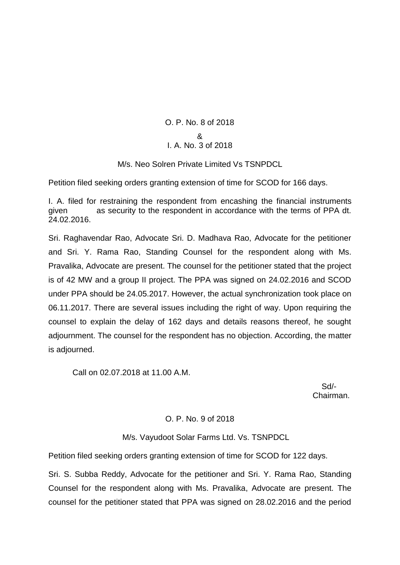# O. P. No. 8 of 2018 &

# I. A. No. 3 of 2018

M/s. Neo Solren Private Limited Vs TSNPDCL

Petition filed seeking orders granting extension of time for SCOD for 166 days.

I. A. filed for restraining the respondent from encashing the financial instruments given as security to the respondent in accordance with the terms of PPA dt. 24.02.2016.

Sri. Raghavendar Rao, Advocate Sri. D. Madhava Rao, Advocate for the petitioner and Sri. Y. Rama Rao, Standing Counsel for the respondent along with Ms. Pravalika, Advocate are present. The counsel for the petitioner stated that the project is of 42 MW and a group II project. The PPA was signed on 24.02.2016 and SCOD under PPA should be 24.05.2017. However, the actual synchronization took place on 06.11.2017. There are several issues including the right of way. Upon requiring the counsel to explain the delay of 162 days and details reasons thereof, he sought adjournment. The counsel for the respondent has no objection. According, the matter is adjourned.

Call on 02.07.2018 at 11.00 A.M.

 Sd/- Chairman.

# O. P. No. 9 of 2018

M/s. Vayudoot Solar Farms Ltd. Vs. TSNPDCL

Petition filed seeking orders granting extension of time for SCOD for 122 days.

Sri. S. Subba Reddy, Advocate for the petitioner and Sri. Y. Rama Rao, Standing Counsel for the respondent along with Ms. Pravalika, Advocate are present. The counsel for the petitioner stated that PPA was signed on 28.02.2016 and the period